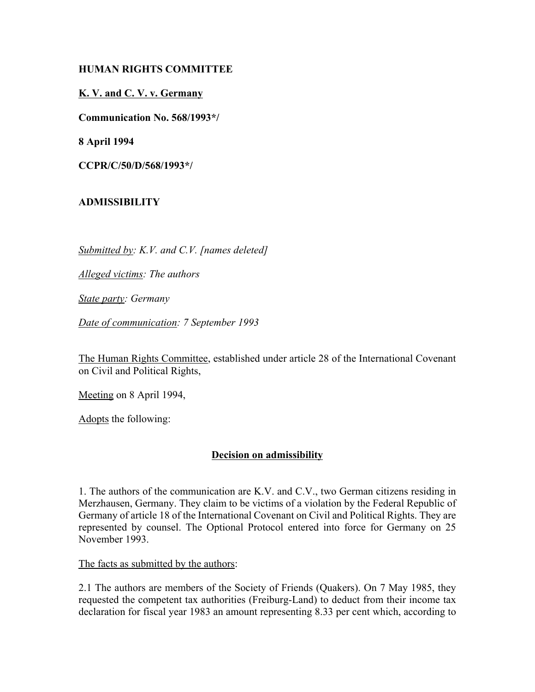## **HUMAN RIGHTS COMMITTEE**

## **K. V. and C. V. v. Germany**

**Communication No. 568/1993\*/**

**8 April 1994**

**CCPR/C/50/D/568/1993\*/**

# **ADMISSIBILITY**

*Submitted by: K.V. and C.V. [names deleted]*

*Alleged victims: The authors*

*State party: Germany*

*Date of communication: 7 September 1993*

The Human Rights Committee, established under article 28 of the International Covenant on Civil and Political Rights,

Meeting on 8 April 1994,

Adopts the following:

### **Decision on admissibility**

1. The authors of the communication are K.V. and C.V., two German citizens residing in Merzhausen, Germany. They claim to be victims of a violation by the Federal Republic of Germany of article 18 of the International Covenant on Civil and Political Rights. They are represented by counsel. The Optional Protocol entered into force for Germany on 25 November 1993.

The facts as submitted by the authors:

2.1 The authors are members of the Society of Friends (Quakers). On 7 May 1985, they requested the competent tax authorities (Freiburg-Land) to deduct from their income tax declaration for fiscal year 1983 an amount representing 8.33 per cent which, according to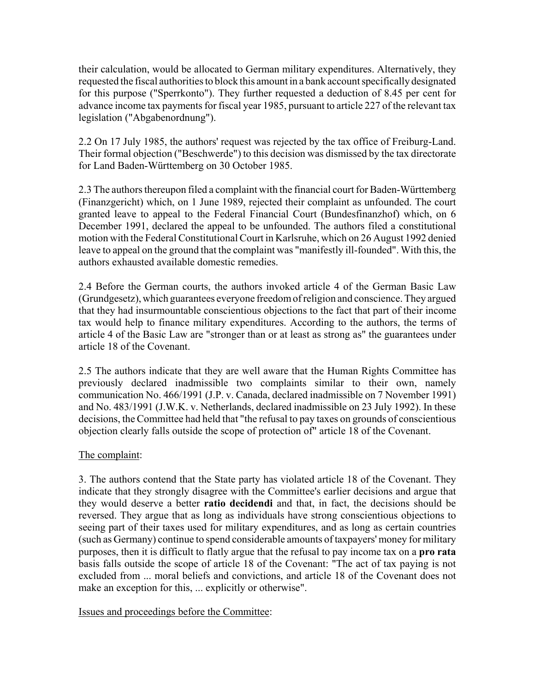their calculation, would be allocated to German military expenditures. Alternatively, they requested the fiscal authorities to block this amount in a bank account specifically designated for this purpose ("Sperrkonto"). They further requested a deduction of 8.45 per cent for advance income tax payments for fiscal year 1985, pursuant to article 227 of the relevant tax legislation ("Abgabenordnung").

2.2 On 17 July 1985, the authors' request was rejected by the tax office of Freiburg-Land. Their formal objection ("Beschwerde") to this decision was dismissed by the tax directorate for Land Baden-Württemberg on 30 October 1985.

2.3 The authors thereupon filed a complaint with the financial court for Baden-Württemberg (Finanzgericht) which, on 1 June 1989, rejected their complaint as unfounded. The court granted leave to appeal to the Federal Financial Court (Bundesfinanzhof) which, on 6 December 1991, declared the appeal to be unfounded. The authors filed a constitutional motion with the Federal Constitutional Court in Karlsruhe, which on 26 August 1992 denied leave to appeal on the ground that the complaint was "manifestly ill-founded". With this, the authors exhausted available domestic remedies.

2.4 Before the German courts, the authors invoked article 4 of the German Basic Law (Grundgesetz), which guarantees everyone freedom of religion and conscience. They argued that they had insurmountable conscientious objections to the fact that part of their income tax would help to finance military expenditures. According to the authors, the terms of article 4 of the Basic Law are "stronger than or at least as strong as" the guarantees under article 18 of the Covenant.

2.5 The authors indicate that they are well aware that the Human Rights Committee has previously declared inadmissible two complaints similar to their own, namely communication No. 466/1991 (J.P. v. Canada, declared inadmissible on 7 November 1991) and No. 483/1991 (J.W.K. v. Netherlands, declared inadmissible on 23 July 1992). In these decisions, the Committee had held that "the refusal to pay taxes on grounds of conscientious objection clearly falls outside the scope of protection of" article 18 of the Covenant.

### The complaint:

3. The authors contend that the State party has violated article 18 of the Covenant. They indicate that they strongly disagree with the Committee's earlier decisions and argue that they would deserve a better **ratio decidendi** and that, in fact, the decisions should be reversed. They argue that as long as individuals have strong conscientious objections to seeing part of their taxes used for military expenditures, and as long as certain countries (such as Germany) continue to spend considerable amounts of taxpayers' money for military purposes, then it is difficult to flatly argue that the refusal to pay income tax on a **pro rata** basis falls outside the scope of article 18 of the Covenant: "The act of tax paying is not excluded from ... moral beliefs and convictions, and article 18 of the Covenant does not make an exception for this, ... explicitly or otherwise".

Issues and proceedings before the Committee: